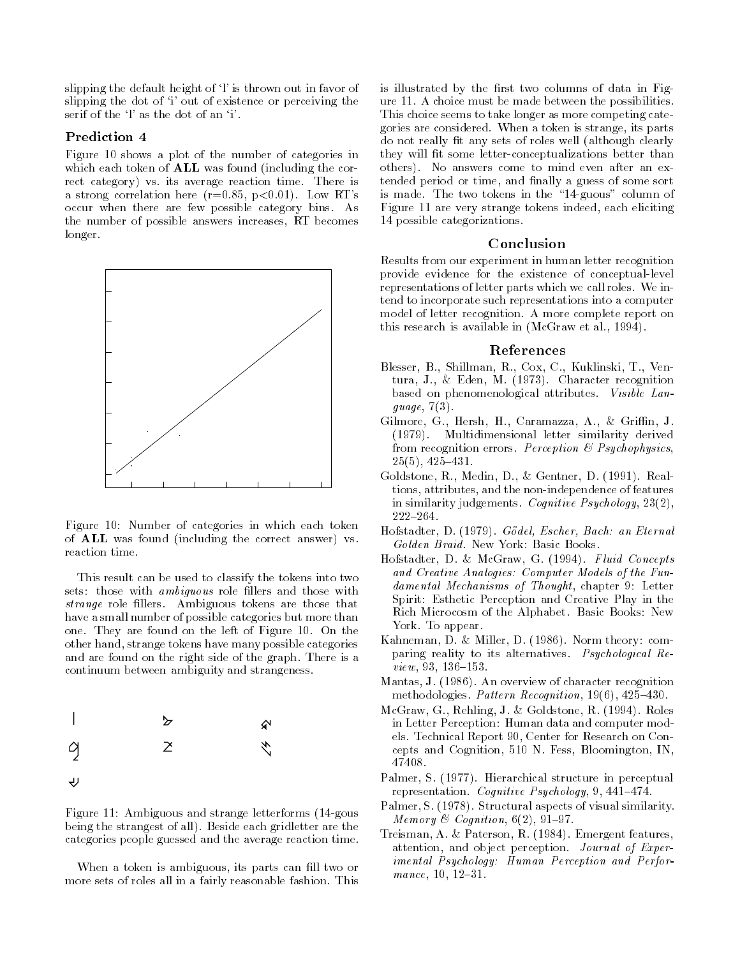slipping the default height of  $\mathcal{V}$  is thrown out in favor of slipping the dot of 'i' out of existence or perceiving the serif of the  $\mathcal{V}$  as the dot of an  $\mathcal{V}$ .

#### Prediction

Figure 10 shows a plot of the number of categories in which each token of  $ALL$  was found (including the correct category is a contract category value of  $\mathcal{C}$ a strong correlation metric (i.e. it is a consequently more in the second second second second second second s occur when there are few possible category binsthe number of possible answers increases. RT becomes longer.



Figure 10: Number of categories in which each token of  $ALL$  was found (including the correct answer) vs. reaction time.

This result can be used to classify the tokens into two sets: those with *ambiguous* role fillers and those with strange personalisme role are the those that the those that the second the second of the second second that the second second second second second second second second second second second second second second second secon have a small number of possible categories but more than one-the-left of Figure - They are found on the left of Figure - They are found on the left of Figure - The left of Figure - The left of Figure - The left of Figure - The left of Figure - The left of Figure - The left of Fi other hand, strange tokens have many possible categories and are found on the right side of the graph-based of the side of the side of the side of the side of the side continuum between ambiguity and strangeness-



Figure 11: Ambiguous and strange letterforms  $(14$ -gous  $b = 1$  Beside each gridletter are the categories people guessed and the average reaction time-

When a token is ambiguous, its parts can fill two or more sets of roles all in a fairly reasonable fashion-blue fashion-blue fashion-blue fashion-blue fashion-blue

is illustrated by the first two columns of data in Figure - A choice must be made between the possibilities of the possibilities-This choice seems to take longer as more competing cate gories are considered in the considered in the strange is strange in the constant do not really fit any sets of roles well (although clearly they will fit some letter-conceptualizations better than others- No answers come to mind even after an ex tended period or time, and finally a guess of some sort is made- The two tokens in the guous column of Figure 11 are very strange tokens indeed, each eliciting 14 possible categorizations.

## Conclusion

Results from our experiment in human letter recognition provide evidence for the existence of conceptual-level representations of letter parts which we call roles- We in tend to incorporate such representations into a computer model of letter recognition- A more complete report on this research is available in the complete in March 2014, and the in

#### References

- Blesser B- Shillman R- Cox C- Kuklinski T- Ven tural til et metter for første formalelse for andersomer based on phenomenological attributes- Visible Lan quage,  $7(3)$ .
- Gilmore G- Hersh H- Caramazza A- Grin J-- Multidimensional letter similarity derived from recognition errors- Perception Psychophysics -----------
- Goldstone Real and the company of the Colombia and the second process of the Colombia and the Colombia and the tions, attributes, and the non-independence of features in similarity in the sychology of the sychology of the sychology of the sychology of the sychology of the sychology of the sychology of the sychology of the sychology of the sychology of the sychology of the sychology of t  $222 - 264.$
- Hofstadter D- G-odel Escher Bach an Eternal
- $\mathbf{H} = \mathbf{H} \mathbf{H}$ and Creative Analogies: Computer Models of the Fundamental Mechanisms of Thought, chapter 9: Letter Spirit Esthetic Perception and Creative Play in the Richard Microcosm of the Alphabet-Microcosm and the Alphabet-York- To appear-
- Kahneman D- Miller D- - Norm theory com paring reality to its alternatives- Psychological Re view -
- Mantas J- - An overview of character recognition methodologies- Pattern Recognition -
- McGraw G- Rehling J- Goldstone R- Roles in Letter Perception: Human data and computer models- Technical Report Center for Research on Con cepts and cognitions, cost but went were consequent, which 47408.
- Palmer S- Hierarchical structure in perceptual representation-between the presentation-between the cognitive Psychology in the cognitive Psychology in the co
- Palmer S- - Structural aspects of visual similarity-Memory  $\mathcal C$  Cognition,  $6(2)$ , 91-97.
- Treisman A- Paterson R- - Emergent features attention and object perception-between  $\mathbf{J}_1$  and  $\mathbf{J}_2$  and  $\mathbf{J}_3$  are perception-between  $\mathbf{J}_2$  and  $\mathbf{J}_3$  and  $\mathbf{J}_4$  and  $\mathbf{J}_5$  and  $\mathbf{J}_7$  and  $\mathbf{J}_8$  and  $\mathbf{J}_9$  and  $\mathbf{J}_9$  and  $\mathbf{J}_9$ imental Psychology: Human Perception and Perfor $mance, 10, 12-31.$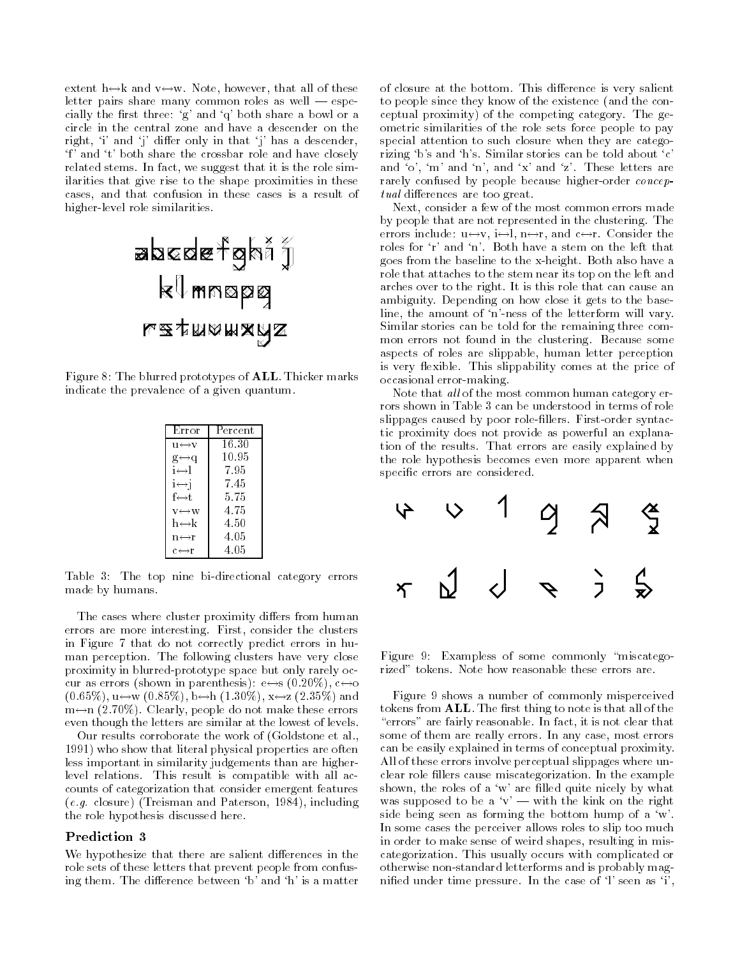extent of an output that all of the second versions are the second letter pairs share many common roles as well  $-$  especially the first three: 'g' and 'q' both share a bowl or a circle in the central zone and have a descender on the right, 'i' and 'j' differ only in that 'j' has a descender, 'f' and 't' both share the crossbar role and have closely related stems-that it is the role stems-that it is the role simulation of the role simulation of the role simulation of the role simulation of the role simulation of the role simulation of the role simulation of the role s ilarities that give rise to the shape proximities in these cases and that confusion in these cases is a result of higher-level role similarities.



Figure 8: The blurred prototypes of  $\mathbf{ALL}$  . Thicker marks indicate the prevalence of a given quantum.

| Error                                     | Percent |
|-------------------------------------------|---------|
| $u \leftrightarrow v$                     | 16.30   |
| $g \leftrightarrow q$                     | 10.95   |
| $i \leftrightarrow l$                     | 7.95    |
| i⇔j                                       | 7.45    |
| f⇔t                                       | 5.75    |
| $V \leftrightarrow W$                     | 4.75    |
| $h \leftrightarrow k$                     | 4.50    |
| $n \leftrightarrow r$                     | 4.05    |
| $\mathrm{c}\!\leftrightarrow\!\mathrm{r}$ | 4.05    |

Table 3: The top nine bi-directional category errors made by humans.

The cases where cluster proximity differs from human errors are more interesting- First consider the clusters in Figure 7 that do not correctly predict errors in human perception- The following clusters have very close proximity in blurred-prototype space but only rarely occur as errors (when we reconstructed it is a specific to the second state of  $\mathbb{R}^n$ - uw - bh - xz - and ma - make the clearly people do not make these exacts even though the letters are similar at the lowest of levels-

Our results corroborate the work of Goldstone et al- 1991) who show that literal physical properties are often less important in similarity judgements than are higher level relations- This result is compatible with all ac counts of categorization that consider emergent features  $(e.g. \text{ closure})$  (Treisman and Paterson, 1984), including the role hypothesis discussed here-

#### Prediction

We hypothesize that there are salient differences in the role sets of these letters that prevent people from confus ing them- The dierence between b and h is a matter

of closure at the bottom- This dierence is very salient to people since they know of the existence (and the conceptual proximity of the competition of the competition of the competition of the competition of the general categoryometric similarities of the role sets force people to pay special attention to such closure when they are catego rizing based in the stories can be to the told above the told above the told above the stories of the stories and o m and  $\mathbf{r}$  and  $\mathbf{r}$  and  $\mathbf{r}$  and  $\mathbf{r}$  and  $\mathbf{r}$  and  $\mathbf{r}$  and  $\mathbf{r}$  are  $\mathbf{r}$ rarely confused by people because higher-order *concep* $tual$  differences are too great.

Next, consider a few of the most common errors made by people that are not represented in the clustering- The errors includes the constant of the constant constant  $\sim$  $B$  from the baseline to the baseline to the xheight-baseline to the xheight-baseline to the xheight-baseline to the xheight-baseline to the xheight-baseline to the xheight-baseline to the xheight-baseline to the xheightrole that attaches to the stem near its top on the left and arches over the right-dimensional can calculate the right-dimensional can calculate and  $\boldsymbol{\sigma}$ ambiguity-bending on how close it give to the base line, the amount of 'n'-ness of the letterform will vary. Similar stories can be told for the remaining three com mon errors not found in the clustering- Because some aspects of roles are slippable, human letter perception is very existence comes at the price of the price of the price of the price of the price of the price of the p occasional error-making.

Note that all of the most common human category errors shown in Table 3 can be understood in terms of role slippages caused by poor role
llers- Firstorder syntac tic proximity does not provide as powerful an explana tion is the results-come that we have entered the represented by the role hypothesis becomes even more apparent when specific errors are considered.



Figure 9: Exampless of some commonly "miscatego-

Figure 9 shows a number of commonly misperceived tokens from  $\mathbf{ALL}$  . The first thing to note is that all of the errors are fairly reasonable-that it is not clear that it is not clear that  $\mathbf{r}$ some of them are really errors- In any case most errors can be easily explained in terms of conceptual proximity-All of these errors involve perceptual slippages where un clear role cause cause cause and a cause in the example of shown, the roles of a 'w' are filled quite nicely by what was supposed to be a ' $v'$  - with the kink on the right side being seen as forming the bottom hump of a 'w'. In some cases the perceiver allows roles to slip too much in order to make sense of weird shapes, resulting in miscategorization - This usually occurs with complication or otherwise nonstandard letterforms and is probably mag ni
ed under time pressure- In the case of l seen as i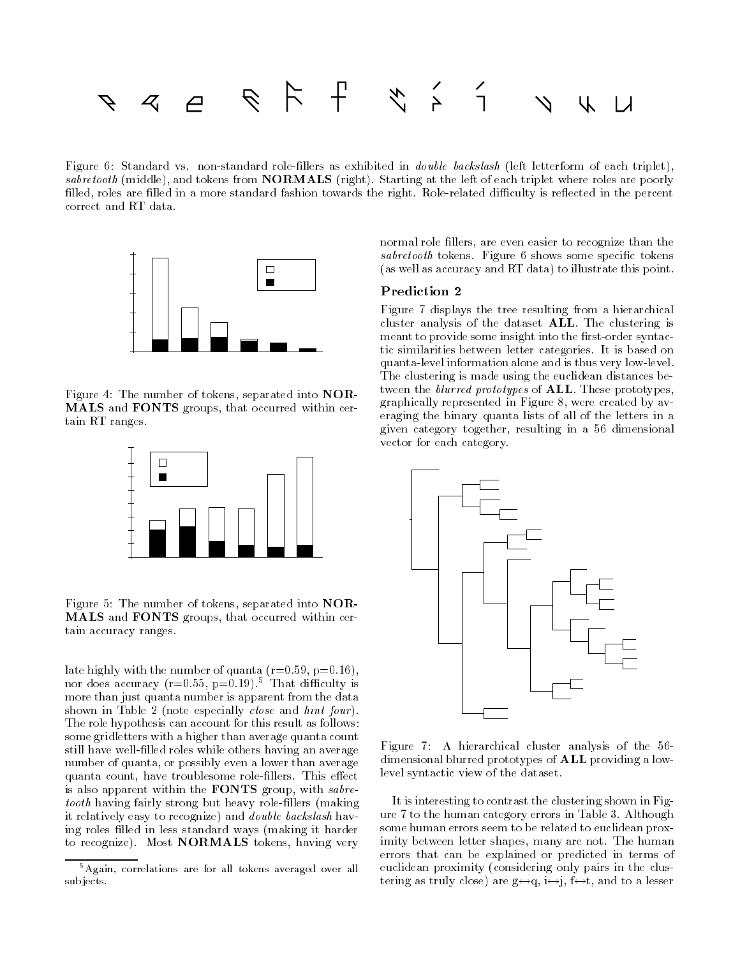

right: It standard the discussion field interfer as exhibited in discussion (field fieldstand in displett); sabretooth (middle), and tokens from  $NORMALS$  (right). Starting at the left of each triplet where roles are poorly lled roles are 
lled in a more standard fashion towards the right- Rolerelated diculty is reected in the percent correct and RT data.



Figure 4: The number of tokens, separated into  $\sf{NOR}\text{-}$ MALS and FONTS groups that occurred within cer tain RT ranges.



Figure 5: The number of tokens, separated into  $\bf{NOR}-$ MALS and FONTS groups, that occurred within certain accuracy ranges.

late highly with the number of  $\alpha$  and  $\alpha$  and  $\alpha$  r-different r-different r-different r-different r-different r-different r-different r-different r-different r-different r-different r-different r-different r-different nor does accuracy (r=0.55, p=0.19). Inat difficulty is more than just quanta number is apparent from the data shown in Table 2 (note especially *close* and *hint four*). The role hypothesis can account for this result as follows some gridletters with a higher than average quanta count still have well-filled roles while others having an average number of quanta, or possibly even a lower than average quanta county matrix the matrix of the method and the role of the county of the county of the county of the co is also apparent within the **FONTS** group, with  $sabre$ tooth having fairly strong but heavy role-fillers (making it relatively easy to recognize) and *double backslash* having roles filled in less standard ways (making it harder to recognize). Most **NORMALS** tokens, having very

normal role fillers, are even easier to recognize than the sabretooth tokens-tokens-tokens-tokens-tokens-tokens-tokens-tokens-tokens-tokens-tokens-tokens-tokens-tokens-(as well as accuracy and RT data) to illustrate this point.

## Prediction 2

Figure 7 displays the tree resulting from a hierarchical cluster analysis of the dataset  $\mathbf{ALL}$ . The clustering is meant to provide some insight into the first-order syntactic similarities between letter categories-between letter categories-between letter categories-between letter quanta-level information alone and is thus very low-level. The clustering is made using the euclidean distances be tween the *blurred prototypes* of  $\mathbf{ALL}$ . These prototypes, graphically represented in Figure 8, were created by averaging the binary quanta lists of all of the letters in a given category together resulting in a minimum category vector for each category.



Figure 2012 – A hierarchical cluster and the cluster analysis of the cluster analysis of the cluster analysis of the cluster analysis of the cluster analysis of the cluster analysis of the cluster analysis of the cluster a dimensional blurred prototypes of **ALL** providing a lowlevel syntactic view of the dataset.

It is interesting to contrast the clustering shown in Fig ure a to the human category errors in Table - to the human category errors in Table - to the human category er some human errors seem to be related to euclidean prox imity between letter shapes many are not-two-dimensions many are not-two-dimensions many are not-two-dimensions  $\mathcal{A}$ errors that can be explained or predicted in terms of euclidean proximity (considering only pairs in the clustering as truly close) are  $g \leftrightarrow q$ ,  $i \leftrightarrow j$ ,  $f \leftrightarrow t$ , and to a lesser

<sup>&</sup>lt;sup>5</sup> Again, correlations are for all tokens averaged over all sub jects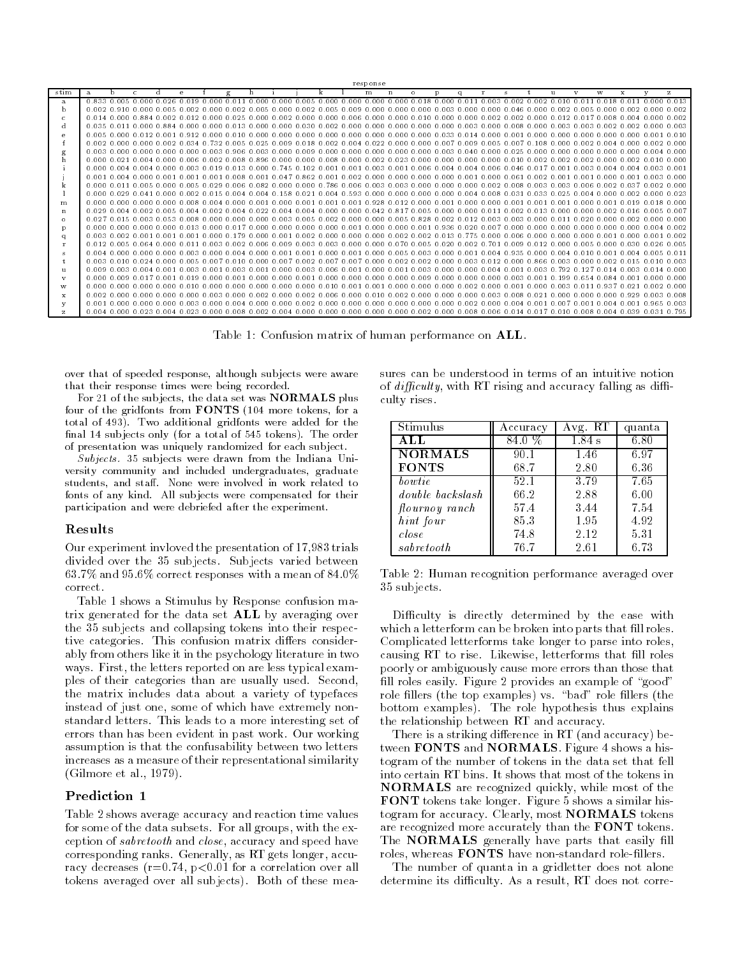|              |       |                                                 |              |   |          |                                           |          |                                                                                                                                                                                                                                 |  |                                             | response                              |             |         |   |                                                                                                           |               |     |              |                |                 |        |                                                       |              |
|--------------|-------|-------------------------------------------------|--------------|---|----------|-------------------------------------------|----------|---------------------------------------------------------------------------------------------------------------------------------------------------------------------------------------------------------------------------------|--|---------------------------------------------|---------------------------------------|-------------|---------|---|-----------------------------------------------------------------------------------------------------------|---------------|-----|--------------|----------------|-----------------|--------|-------------------------------------------------------|--------------|
| stim         | a.    | b.                                              | $\mathbb{C}$ | d | e        |                                           | $\sigma$ |                                                                                                                                                                                                                                 |  |                                             | m                                     | $\mathbf n$ | $\circ$ | D | $\alpha$                                                                                                  |               |     | $\mathbf{H}$ | v              | W               | x      | $\overline{u}$                                        | $\mathbf{z}$ |
| a            |       |                                                 |              |   |          | 0.833 0.005 0.000 0.026 0.019 0.000 0.011 |          | $-0.000$ 0.000 0.005 0.000 0.000 0.000 0.000 0.018 0.000 0.011                                                                                                                                                                  |  |                                             |                                       |             |         |   |                                                                                                           |               |     |              |                |                 |        | 0.003 0.002 0.002 0.010 0.011 0.018 0.011 0.000 0.013 |              |
| b.           |       |                                                 |              |   |          |                                           |          | .0.002 0.910 0.000 0.005 0.002 0.000 0.002 0.005 0.000 0.002 0.005 0.009 0.000 0.000 0.000                                                                                                                                      |  |                                             |                                       |             |         |   | . 0.003 0.000 0.000 0.046 0.000 0.002 0.005 0.000 0.002 0.000 0.002                                       |               |     |              |                |                 |        |                                                       |              |
|              |       |                                                 |              |   |          |                                           |          | 0.014 0.000 0.884 0.002 0.012 0.000 0.025 0.000 0.002 0.000 0.000 0.000 0.000 0.000 0.000 0.000 0.002 0.002 0.000 0.012 0.017 0.008 0.004 0.000 0.02                                                                            |  |                                             |                                       |             |         |   |                                                                                                           |               |     |              |                |                 |        |                                                       |              |
| d            |       |                                                 |              |   |          |                                           |          | 0.035 0.011 0.000 0.884 0.000 0.000 0.013 0.000 0.000 0.030 0.002 0.000 0.000 0.000 0.000 0.000 0.003 0.000 0.008 0.000 0.003 0.002 0.002 0.000 0.003 0.000 0.000 0.003 0.000 0.003 0.000 0.003 0.002 0.000 0.003 0.000 0.003 0 |  |                                             |                                       |             |         |   |                                                                                                           |               |     |              |                |                 |        |                                                       |              |
| e            |       |                                                 |              |   |          |                                           |          | 0.005 0.000 0.012 0.001 0.912 0.000 0.010 0.000 0.000 0.000 0.000 0.000 0.000 0.000 0.033 0.014 0.000 0.001 0.000 0.000 0.000 0.000 0.000 0.000 0.000 0.000 0.000 0.000 0.000 0.000 0.000 0.000 0.000 0.000 0.000 0.000 0.000 0 |  |                                             |                                       |             |         |   |                                                                                                           |               |     |              |                |                 |        |                                                       | 0.010        |
|              |       | $0.002$ $0.000$ $0.000$ $0.002$ $0.034$ $0$     |              |   |          |                                           |          | .732 0.005 0.025 0.009 0.018 0.002 0.004 0.022 0.000 0.000 0.007 0.009 0.005 0.007 0.108 0.000 0.002 0.004 0.000 0.002 0.000                                                                                                    |  |                                             |                                       |             |         |   |                                                                                                           |               |     |              |                |                 |        |                                                       |              |
|              |       |                                                 |              |   |          |                                           |          | .0.003 0.000 0.000 0.000 0.000 0.003 0.906 0.003 0.000 0.009 0.000 0.000 0.000 0.000 0.000 0.003 0.040 0.000 0.000 0.000 0.000 0.000 0.000                                                                                      |  |                                             |                                       |             |         |   |                                                                                                           |               |     |              |                | n nnn n nnn     |        | . 0.004. 0.000                                        |              |
|              |       |                                                 |              |   |          |                                           |          | .0 000 0 121 0 1004 0 1000 0 1002 0 100 0 1000 0 1000 0 1000 0 1000 0 1000 0 1000 0 1000 0 1000 0 1000 0 1000 0 1000 0 1000 0 1000 0 100 0 100 0 100 0 100 0 100 0 100 0 100 0 100 0 100 0 100 0 100 0 100 0 100 0 100 0 100 0  |  |                                             |                                       |             |         |   |                                                                                                           |               |     |              |                |                 |        |                                                       |              |
|              |       |                                                 |              |   |          |                                           |          | 0.000 0.004 0.004 0.000 0.003 0.019 0.013 0.000 0.745 0.102 0.001 0.001 0.003 0.001 0.006 0.004 0.004 0.006 0.046 0.017 0.001                                                                                                   |  |                                             |                                       |             |         |   |                                                                                                           |               |     |              | 0.003          |                 |        | 0.004.0.004.0.003.0.001                               |              |
|              | 0.001 | . 0.004. 0.000. 0.011                           |              |   | . n nn 1 | . N N N N                                 |          |                                                                                                                                                                                                                                 |  | $0.047$ $0.862$ $0.001$                     | . 0.002 0.000 0.000 0.000 0.000 0.001 |             |         |   |                                                                                                           | . 0.000. 0.61 |     |              | . N N N N      | n nnn           | .N 001 |                                                       | . വൈ         |
|              |       |                                                 |              |   |          |                                           |          | 0.000 0.011 0.005 0.000 0.005 0.029 0.006 0.082 0.000 0.000 0.786 0.006 0.003 0.003 0.000 0.000 0.000 0.002 0.008 0.003 0.006 0.002 0.037                                                                                       |  |                                             |                                       |             |         |   |                                                                                                           |               |     |              |                |                 |        | 0.002, 0.000                                          |              |
|              |       |                                                 |              |   |          |                                           |          | .0.000.0.029.0.041.0.000.0.002.0.015.0.004.0.004.0.1                                                                                                                                                                            |  |                                             |                                       |             |         |   | 158 0.021 0.004 0.593 0.000 0.000 0.000 0.000 0.004 0.008 0.031 0.033 0.025 0.004 0.000 0.002 0.000 0.023 |               |     |              |                |                 |        |                                                       |              |
| m            |       |                                                 |              |   |          |                                           |          | 0.000 0.000 0.000 0.000 0.008 0.004 0.000 0.001 0.000 0.001 0.001 0.001 0.928 0.012 0.000 0.001 0.000 0.000 0.001 0.001 0.001                                                                                                   |  |                                             |                                       |             |         |   |                                                                                                           |               |     |              |                |                 |        | 0.00000.0010.0190.0180.000                            |              |
| $\mathbf n$  |       |                                                 |              |   |          |                                           |          | .0 029 0 004 0 002 0 005 0 004 0 002 0 004 0 004 0 004 0 000 0 000 0 042 0 817 0 005 0 000 0 000 0 001 0 002 0 013 0 000 0 000 0 002 0 016 0 005 0 007                                                                          |  |                                             |                                       |             |         |   |                                                                                                           |               |     |              |                |                 |        |                                                       |              |
| $\circ$      |       |                                                 |              |   |          |                                           |          | 0.027 0.015 0.003 0.053 0.008 0.000 0.000 0.000 0.003 0.005 0.002 0.000 0.000 0.005 0.828 0.002 0.012 0.003 0.003 0.000 0.011                                                                                                   |  |                                             |                                       |             |         |   |                                                                                                           |               |     |              | 0.020          |                 |        | . 0.000 0.002 0.000 0.000                             |              |
| D            |       |                                                 |              |   |          |                                           |          | .0,000 0,000 0,000 0,000 0,013 0,000 0,017 0,000 0,000 0,000 0,000 0,001 0,000 0,000 0,001 0,936 0,020 0,007 0,000 0,000 0,000 0,000 0,000                                                                                      |  |                                             |                                       |             |         |   |                                                                                                           |               |     |              |                | n nnn n nnn     |        |                                                       | 0.002        |
| $\sigma$     |       | $0.003$ $0.002$ $0.001$ $0.001$ $0.001$         |              |   |          | n nnn n 1                                 |          | 79   0.000   0.001   0.002   0.000   0.000   0.000   0.002   0.002   0.013   0.775   0.000   0.006   0.000   0.000   0.000   0.000   0.000   0.000   0.000   0.000   0.000   0.000   0.000   0.000   0.000   0.000   0.000      |  |                                             |                                       |             |         |   |                                                                                                           |               |     |              |                | -0.001          | n nnn  | -0.001                                                | -0.002       |
|              |       |                                                 |              |   |          |                                           |          | 0.012 0.005 0.064 0.000 0.011 0.003 0.002 0.006 0.009 0.003 0.003 0.000 0.000 0.070 0.005 0.020 0.002 0.701 0.009 0.012 0.000 0.005 0.000 0.030 0.026 0.005                                                                     |  |                                             |                                       |             |         |   |                                                                                                           |               |     |              |                |                 |        |                                                       |              |
| -8           |       |                                                 |              |   |          |                                           |          | 0.004 0.000 0.000 0.000 0.003 0.000 0.004 0.000 0.001 0.001 0.000 0.001 0.000 0.005 0.000 0.000 0.001 0.004 0.000 0.004 0.010 0.001 0.004 0.005 0.011                                                                           |  |                                             |                                       |             |         |   |                                                                                                           |               |     |              |                |                 |        |                                                       |              |
|              |       |                                                 |              |   |          | 0.003.0.010.0.024.0.000.0.005.0.007       |          | 0.010 0.000 0.007 0.002 0.007 0.007 0.000 0.002 0.002 0.000 0.003 0.012 0.000 0.866 0.003 0.000                                                                                                                                 |  |                                             |                                       |             |         |   |                                                                                                           |               |     |              |                |                 |        |                                                       | .n nn 3      |
| u            |       | $0.009$ $0.003$ $0.004$ $0.001$ $0.003$ $0.001$ |              |   |          |                                           |          | . 0.003. 0.001                                                                                                                                                                                                                  |  | . 0.000 0.003 0.006 0.001 0.000 0.001       |                                       |             |         |   |                                                                                                           |               |     |              | .792 0.127     | 0 0 1 4         |        | $0.003$ $0.014$ $0.000$                               |              |
| $\mathbf{v}$ |       |                                                 |              |   |          | 0.000.0.009.0.017.0.001.0.019.0.000.0.001 |          | n nnn                                                                                                                                                                                                                           |  | . 0.000 0.001 0.000 0.000 0.000 0.000 0.009 |                                       |             |         |   | . 0.000 0.000 0.000 0.001                                                                                 |               |     | 01<br>-99    | በ 654          | በ በጸ4 በ         | . വി   | . 0.000. 0.000                                        |              |
| w            |       |                                                 |              |   |          |                                           |          |                                                                                                                                                                                                                                 |  |                                             |                                       |             |         |   |                                                                                                           |               |     |              |                | 0.937           | 0.021  | 0.0020.000                                            |              |
| $\mathbf x$  |       | . 0.002. 0.000. 0.000. 0.000. 0.000. 0.         |              |   |          |                                           |          | LOO3 O OOO O OO2 O                                                                                                                                                                                                              |  |                                             |                                       |             |         |   | .000 0.002 0.006 0.000 0.010 0.002 0.000 0.000 0.000 0.003 0.008 0                                        |               | n21 | $\Omega$     | nnn n nnn      | 0.000.0.929     |        | 0.003.0.008                                           |              |
|              | 0.001 |                                                 |              |   |          |                                           |          | . 0.000 0.000 0.000 0.003 0.000 0.004 0.000 0.000 0.002 0.000 0.000 0.000 0.000 0.000 0.000 0.002 0.000 0.004 0.001                                                                                                             |  |                                             |                                       |             |         |   |                                                                                                           |               |     |              | . 0.007. 0.001 | $0.004$ $0.001$ |        | $0.965$ $0.003$                                       |              |
| $\mathbf{z}$ |       |                                                 |              |   |          |                                           |          | 0.004 0.000 0.023 0.004 0.023 0.000 0.008 0.002 0.004 0.000 0.000 0.000 0.000 0.000 0.002 0.000 0.008 0.006 0.017 0.017 0.010 0.008 0.004 0.039 0.031 0.795                                                                     |  |                                             |                                       |             |         |   |                                                                                                           |               |     |              |                |                 |        |                                                       |              |

Table 1: Confusion matrix of human performance on ALL.

over that of speeded response, although subjects were aware that their response times were being recorded

For 21 of the subjects, the data set was  $\mathbf{NORMALS}$  plus four of the gridfonts from  $\textbf{FONTS}$  (104 more tokens, for a total of 493). Two additional gridfonts were added for the nal sub a total only for a total of the context  $\mu$  which as the order of presentation was uniquely randomized for each subject.

Subjects. 35 subjects were drawn from the Indiana University community and included undergraduates, graduate students, and staff. None were involved in work related to fonts of any kind. All subjects were compensated for their participation and were debriefed after the experiment

## Results

Our experiment invloved the presentation of 17,983 trials as subjects- the subjects variety of the subject of the subject of the subjects variety of the subjects of the - and - correct responses with a mean of correct.

Table 1 shows a Stimulus by Response confusion matrix generated for the data set ALL by averaging over the subjects and collapsing to the collapsing tokens into the collapsing tokens into the collapsing to the col tive categories- This confusion matrix diers consider ably from others like it in the psychology literature in two ways- **First the letters reported on** are less typical examples ples of their categories than are usually used- Second the matrix includes data about a variety of typefaces instead of just one, some of which have extremely nonstandard letters- This leads to a more interesting set of errors than has been evident in past work- Our working assumption is that the confusability between two letters increases as a measure of their representational similarity  $\blacksquare$ 

## Prediction 1

Table 2 shows average accuracy and reaction time values for some of the data subsets- For all groups with the ex ception of *sabretooth* and *close*, accuracy and speed have corresponding ranks- corresponding as RT gets longer accurate racy decreases r- p- for a correlation over all tokens averaged over all subjects- Both of these mea

sures can be understood in terms of an intuitive notion of  $difficulty$ , with RT rising and accuracy falling as difficulty rises.

| Stimulus                | Accuracy | Avg. RT | quanta |
|-------------------------|----------|---------|--------|
| ALL                     | 84.0%    | 1.84 s  | 6.80   |
| <b>NORMALS</b>          | 90.1     | 1.46    | 6.97   |
| <b>FONTS</b>            | 68.7     | 2.80    | 6.36   |
| bo wtie                 | 52.1     | 3.79    | 7.65   |
| <i>double backslash</i> | 66.2     | 2.88    | 6.00   |
| flournoy ranch          | 57.4     | 3.44    | 7.54   |
| hint four               | 85.3     | 1.95    | 4.92   |
| close                   | 74.8     | 2.12    | 5.31   |
| sabretooth              | 76.7     | 2.61    | 6.73   |

Table 2: Human recognition performance averaged over subjects-

Difficulty is directly determined by the ease with which a letterform can be broken into parts that fill roles. Complicated letterforms take longer to parse into roles causing RT to rise-the rise-that in the rise-that is experimented to rise-the rise-that is experimented to relate the rise-that is experimented to relate the rise-that is experimented to relate the rise-that is experimente poorly or ambiguously cause more errors than those that ll roles easily- Figure provides an example of good role 
llers the top examples vs- bad role 
llers the bottom examples provided the role of the role of the role of the role of the role of the role of the role of t the relationship between RT and accuracy-

There is a striking difference in RT (and accuracy) between  ${\bf FONTS}$  and  ${\bf NORMALS}$  . Figure 4 shows a histogram of the number of tokens in the data set that fell NORMALS are recognized quickly while most of the  ${\bf FONT}$  tokens take longer. Figure 5 shows a similar histogram for accuracy. Clearly, most  $\mathbf{NORMALS}$  tokens are recognized more accurately than the FONT tokens. The **NORMALS** generally have parts that easily fill roles, whereas **FONTS** have non-standard role-fillers.

The number of quanta in a gridletter does not alone determine its diculty-determine its diculty-determine its diculty-determine in the correlation of the correlation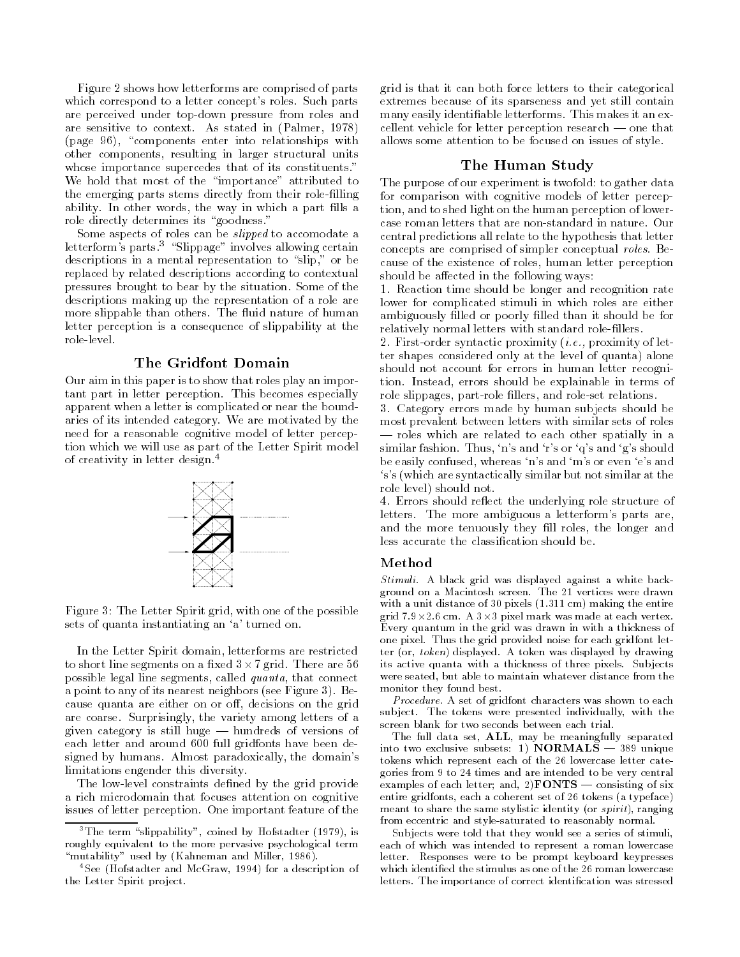Figure 2 shows how letterforms are comprised of parts which corresponds to a letter complete roles- a letter part parts are perceived under top-down pressure from roles and are stated in the context of the state in the state in Palmer in Palmer (page 96), "components enter into relationships with other components, resulting in larger structural units whose importance supercedes that of its constituents-that of its constituents-that of its constituents-that of i We hold that most of the "importance" attributed to the emerging parts stems directly from their role
lling ability-beneficial control of the way in which a part of the way in which a part of the way in which a part of role directly determines its goodness-

Some aspects of roles can be slipped to accomodate a letterforms parts- Slippage involves allowing certain descriptions in a mental representation to "slip," or be replaced by related descriptions according to contextual pressures brought to bear by the situation- Some of the descriptions making up the representation of a role are more slipped than others-and which human continues and more and letter perception is a consequence of slippability at the role-level.

## The Gridfont Domain

Our aim in this paper is to show that roles play an impor tant part in letter perception- This becomes especially apparent when a letter is complicated or near the bound aries of its internet category. The motivated by the motivated by need for a reasonable cognitive model of letter percep tion which we will use as part of the Letter Spirit model of creativity in letter design. T



Figure 3: The Letter Spirit grid, with one of the possible sets of quanta instantiating an 'a' turned on.

In the Letter Spirit domain, letterforms are restricted to short line segments on a miles of the grid-state are go possible legal line segments, called  $quanta$ , that connect a point to any of its nearest neighbors see first require - figure cause quanta are either on or off, decisions on the grid are coarse-coarse-printingly the variety among letters of a given category is still huge  $-$  hundreds of versions of each letter and around 600 full gridfonts have been designed by humans- Almost paradoxically the domains limitations engender this diversity-

The low-level constraints defined by the grid provide a rich microdomain that focuses attention on cognitive issues of letter perception- One important feature of the

grid is that it can both force letters to their categorical extremes because of its sparseness and yet still contain many easily identi
able letterforms- This makes it an ex cellent vehicle for letter perception research  $\sim$  one that allows some attention to be focused on issues of style-

#### The Human Study

The purpose of our experiment is twofold: to gather data for comparison with cognitive models of letter percep tion, and to shed light on the human perception of lowercentral predictions all relate to the hypothesis that letter concepts are comprised of simpler conceptual roles- Be cause of the existence of roles, human letter perception should be affected in the following ways:

- Reaction time should be longer and recognition rate lower for complicated stimuli in which roles are either ambiguously 
lled or poorly 
lled than it should be for relatively normal letters with standard role-fillers.

- Firstorder syntactic proximity ie proximity of let ter shapes considered only at the level of quanta) alone should not account for errors in human letter recogni tion- Instead errors should be explainable in terms of role slippages, part-role fillers, and role-set relations.

- Category errors made by human subjects should be most prevalent between letters with similar sets of roles roles which are related to each other spatially in a similar fashion-contract the state of the state  $\pi$  showledge that  $\pi$ be easily confused, whereas 'n's and 'm's or even 'e's and s's (which are syntactically similar but not similar at the role level) should not.

- Errors should reect the underlying role structure of letters- The more ambiguous a letterforms parts are and the more tenuously they fill roles, the longer and less accurate the classification should be.

#### Method

Stimuli. A black grid was displayed against a white background on a Macintosh screen The - vertices were drawn with a unit distance of 30 pixels  $(1.311 \text{ cm})$  making the entire grid - con a communication at the control material control control of the control of the control of the control of the control of the control of the control of the control of the control of the control of the control of th Every quantum in the grid was drawn in with a thickness of one pixel. Thus the grid provided noise for each gridfont letter (or,  $token$ ) displayed. A token was displayed by drawing its active quanta with a thickness of three pixels. Subjects were seated, but able to maintain whatever distance from the monitor they found best

Procedure. A set of gridfont characters was shown to each subject. The tokens were presented individually, with the screen blank for two seconds between each trial

The full data set,  $ALL$ , may be meaningfully separated into two exclusive subsets: 1)  $NORMALS - 389$  unique tokens which represent each of the - lowercase letter cate govine from a times and the intended to be very central examples of each letter; and, 2) $\textbf{FONTS} \rightharpoonup \text{consisting of six}$ entire gridfonts each a contribute set of - tonium (a typeface) meant to share the same stylistic identity (or  $sprint$ ), ranging from eccentric and style-saturated to reasonably normal.

Subjects were told that they would see a series of stimuli each of which was intended to represent a roman lowercase letter. Responses were to be prompt keyboard keypresses letters The importance of correct identi cation was stressed

<sup>&</sup>lt;sup>3</sup>The term "slippability", coined by Hofstadter  $(1979)$ , is roughly equivalent to the more pervasive psychological term "mutability" used by (Kahneman and Miller, 1986).

 $4$ See (Hofstadter and McGraw, 1994) for a description of the Letter Spirit project